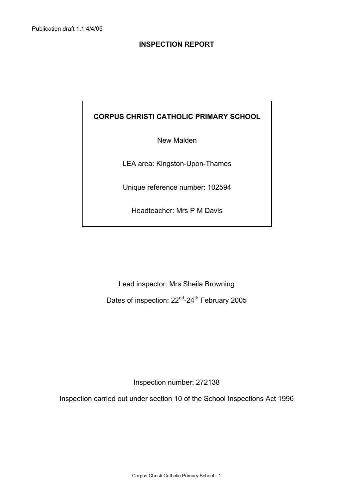## **CORPUS CHRISTI CATHOLIC PRIMARY SCHOOL**

New Malden

LEA area: Kingston-Upon-Thames

Unique reference number: 102594

Headteacher: Mrs P M Davis

Lead inspector: Mrs Sheila Browning

Dates of inspection: 22<sup>nd</sup>-24<sup>th</sup> February 2005

Inspection number: 272138

Inspection carried out under section 10 of the School Inspections Act 1996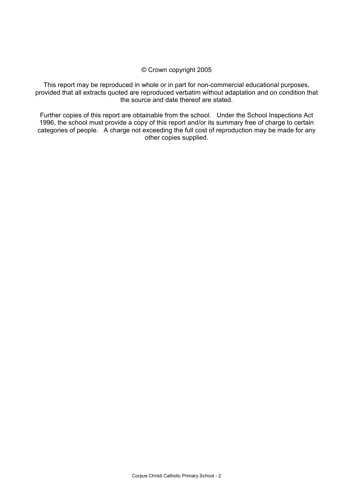#### © Crown copyright 2005

This report may be reproduced in whole or in part for non-commercial educational purposes, provided that all extracts quoted are reproduced verbatim without adaptation and on condition that the source and date thereof are stated.

Further copies of this report are obtainable from the school. Under the School Inspections Act 1996, the school must provide a copy of this report and/or its summary free of charge to certain categories of people. A charge not exceeding the full cost of reproduction may be made for any other copies supplied.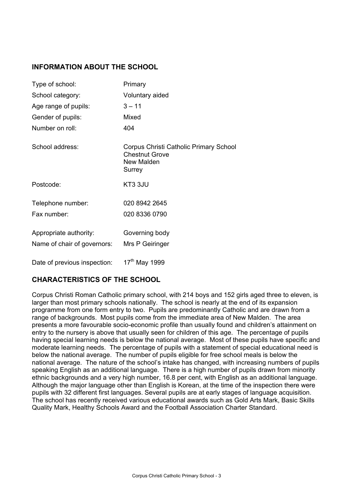## **INFORMATION ABOUT THE SCHOOL**

| Type of school:              | Primary                                                                                 |
|------------------------------|-----------------------------------------------------------------------------------------|
| School category:             | Voluntary aided                                                                         |
| Age range of pupils:         | $3 - 11$                                                                                |
| Gender of pupils:            | Mixed                                                                                   |
| Number on roll:              | 404                                                                                     |
| School address:              | Corpus Christi Catholic Primary School<br><b>Chestnut Grove</b><br>New Malden<br>Surrey |
| Postcode:                    | KT3 3JU                                                                                 |
| Telephone number:            | 020 8942 2645                                                                           |
| Fax number:                  | 020 8336 0790                                                                           |
| Appropriate authority:       | Governing body                                                                          |
| Name of chair of governors:  | Mrs P Geiringer                                                                         |
| Date of previous inspection: | 17 <sup>th</sup> May 1999                                                               |

## **CHARACTERISTICS OF THE SCHOOL**

Corpus Christi Roman Catholic primary school, with 214 boys and 152 girls aged three to eleven, is larger than most primary schools nationally. The school is nearly at the end of its expansion programme from one form entry to two. Pupils are predominantly Catholic and are drawn from a range of backgrounds. Most pupils come from the immediate area of New Malden. The area presents a more favourable socio-economic profile than usually found and children's attainment on entry to the nursery is above that usually seen for children of this age. The percentage of pupils having special learning needs is below the national average. Most of these pupils have specific and moderate learning needs. The percentage of pupils with a statement of special educational need is below the national average. The number of pupils eligible for free school meals is below the national average. The nature of the school's intake has changed, with increasing numbers of pupils speaking English as an additional language. There is a high number of pupils drawn from minority ethnic backgrounds and a very high number, 16.8 per cent, with English as an additional language. Although the major language other than English is Korean, at the time of the inspection there were pupils with 32 different first languages. Several pupils are at early stages of language acquisition. The school has recently received various educational awards such as Gold Arts Mark, Basic Skills Quality Mark, Healthy Schools Award and the Football Association Charter Standard.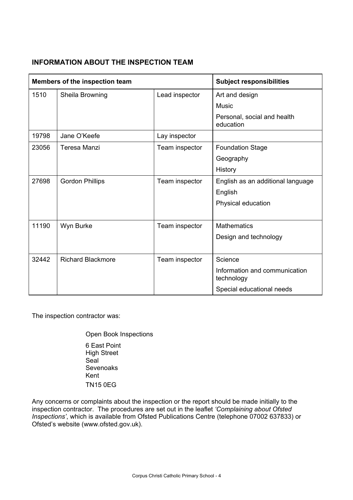## **INFORMATION ABOUT THE INSPECTION TEAM**

| Members of the inspection team |                                   |                | <b>Subject responsibilities</b>             |
|--------------------------------|-----------------------------------|----------------|---------------------------------------------|
| 1510                           | Sheila Browning<br>Lead inspector |                | Art and design                              |
|                                |                                   |                | <b>Music</b>                                |
|                                |                                   |                | Personal, social and health<br>education    |
| 19798                          | Jane O'Keefe                      | Lay inspector  |                                             |
| 23056                          | Teresa Manzi                      | Team inspector | <b>Foundation Stage</b>                     |
|                                |                                   |                | Geography                                   |
|                                |                                   |                | History                                     |
| 27698                          | <b>Gordon Phillips</b>            | Team inspector | English as an additional language           |
|                                |                                   |                | English                                     |
|                                |                                   |                | Physical education                          |
|                                |                                   |                |                                             |
| 11190                          | Wyn Burke                         | Team inspector | <b>Mathematics</b>                          |
|                                |                                   |                | Design and technology                       |
|                                |                                   |                |                                             |
| 32442                          | <b>Richard Blackmore</b>          | Team inspector | Science                                     |
|                                |                                   |                | Information and communication<br>technology |
|                                |                                   |                | Special educational needs                   |

The inspection contractor was:

 Open Book Inspections 6 East Point High Street Seal **Sevenoaks**  Kent TN15 0EG

Any concerns or complaints about the inspection or the report should be made initially to the inspection contractor. The procedures are set out in the leaflet *'Complaining about Ofsted Inspections'*, which is available from Ofsted Publications Centre (telephone 07002 637833) or Ofsted's website (www.ofsted.gov.uk).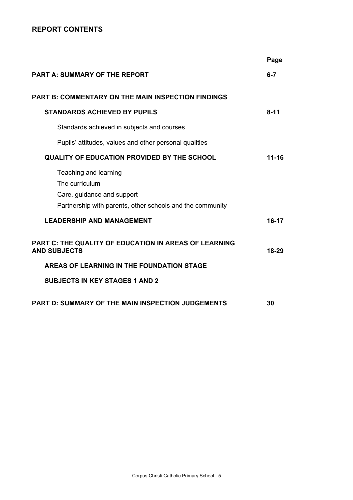## **REPORT CONTENTS**

|                                                                                                                                    | Page      |
|------------------------------------------------------------------------------------------------------------------------------------|-----------|
| <b>PART A: SUMMARY OF THE REPORT</b>                                                                                               | $6 - 7$   |
| <b>PART B: COMMENTARY ON THE MAIN INSPECTION FINDINGS</b>                                                                          |           |
| <b>STANDARDS ACHIEVED BY PUPILS</b>                                                                                                | $8 - 11$  |
| Standards achieved in subjects and courses                                                                                         |           |
| Pupils' attitudes, values and other personal qualities                                                                             |           |
| <b>QUALITY OF EDUCATION PROVIDED BY THE SCHOOL</b>                                                                                 | $11 - 16$ |
| Teaching and learning<br>The curriculum<br>Care, guidance and support<br>Partnership with parents, other schools and the community |           |
| <b>LEADERSHIP AND MANAGEMENT</b>                                                                                                   | 16-17     |
| <b>PART C: THE QUALITY OF EDUCATION IN AREAS OF LEARNING</b><br><b>AND SUBJECTS</b>                                                | 18-29     |
| AREAS OF LEARNING IN THE FOUNDATION STAGE                                                                                          |           |
| <b>SUBJECTS IN KEY STAGES 1 AND 2</b>                                                                                              |           |
| PART D: SUMMARY OF THE MAIN INSPECTION JUDGEMENTS                                                                                  | 30        |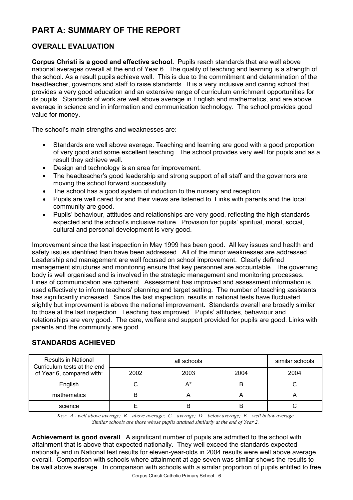# **PART A: SUMMARY OF THE REPORT**

## **OVERALL EVALUATION**

**Corpus Christi is a good and effective school.** Pupils reach standards that are well above national averages overall at the end of Year 6. The quality of teaching and learning is a strength of the school. As a result pupils achieve well. This is due to the commitment and determination of the headteacher, governors and staff to raise standards. It is a very inclusive and caring school that provides a very good education and an extensive range of curriculum enrichment opportunities for its pupils. Standards of work are well above average in English and mathematics, and are above average in science and in information and communication technology. The school provides good value for money.

The school's main strengths and weaknesses are:

- Standards are well above average. Teaching and learning are good with a good proportion of very good and some excellent teaching. The school provides very well for pupils and as a result they achieve well.
- Design and technology is an area for improvement.
- The headteacher's good leadership and strong support of all staff and the governors are moving the school forward successfully.
- The school has a good system of induction to the nursery and reception.
- Pupils are well cared for and their views are listened to. Links with parents and the local community are good.
- Pupils' behaviour, attitudes and relationships are very good, reflecting the high standards expected and the school's inclusive nature. Provision for pupils' spiritual, moral, social, cultural and personal development is very good.

Improvement since the last inspection in May 1999 has been good. All key issues and health and safety issues identified then have been addressed. All of the minor weaknesses are addressed. Leadership and management are well focused on school improvement. Clearly defined management structures and monitoring ensure that key personnel are accountable. The governing body is well organised and is involved in the strategic management and monitoring processes. Lines of communication are coherent. Assessment has improved and assessment information is used effectively to inform teachers' planning and target setting. The number of teaching assistants has significantly increased. Since the last inspection, results in national tests have fluctuated slightly but improvement is above the national improvement. Standards overall are broadly similar to those at the last inspection. Teaching has improved. Pupils' attitudes, behaviour and relationships are very good. The care, welfare and support provided for pupils are good. Links with parents and the community are good.

## **STANDARDS ACHIEVED**

| Results in National<br>Curriculum tests at the end |      | similar schools |      |      |
|----------------------------------------------------|------|-----------------|------|------|
| of Year 6, compared with:                          | 2002 | 2003            | 2004 | 2004 |
| English                                            |      | $A^*$           | B    |      |
| mathematics                                        |      |                 |      |      |
| science                                            |      |                 | B    |      |

*Key: A - well above average; B – above average; C – average; D – below average; E – well below average Similar schools are those whose pupils attained similarly at the end of Year 2.* 

**Achievement is good overall**. A significant number of pupils are admitted to the school with attainment that is above that expected nationally. They well exceed the standards expected nationally and in National test results for eleven-year-olds in 2004 results were well above average overall. Comparison with schools where attainment at age seven was similar shows the results to be well above average. In comparison with schools with a similar proportion of pupils entitled to free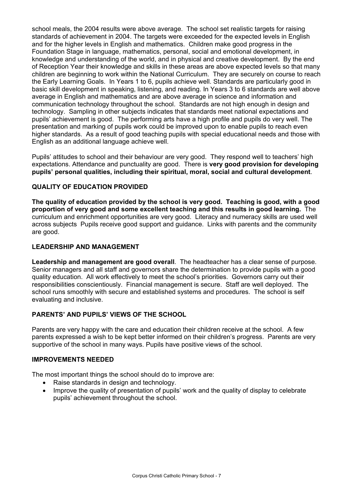school meals, the 2004 results were above average. The school set realistic targets for raising standards of achievement in 2004. The targets were exceeded for the expected levels in English and for the higher levels in English and mathematics. Children make good progress in the Foundation Stage in language, mathematics, personal, social and emotional development, in knowledge and understanding of the world, and in physical and creative development. By the end of Reception Year their knowledge and skills in these areas are above expected levels so that many children are beginning to work within the National Curriculum. They are securely on course to reach the Early Learning Goals. In Years 1 to 6, pupils achieve well. Standards are particularly good in basic skill development in speaking, listening, and reading. In Years 3 to 6 standards are well above average in English and mathematics and are above average in science and information and communication technology throughout the school. Standards are not high enough in design and technology.Sampling in other subjects indicates that standards meet national expectations and pupils' achievement is good. The performing arts have a high profile and pupils do very well. The presentation and marking of pupils work could be improved upon to enable pupils to reach even higher standards. As a result of good teaching pupils with special educational needs and those with English as an additional language achieve well.

Pupils' attitudes to school and their behaviour are very good. They respond well to teachers' high expectations. Attendance and punctuality are good. There is **very good provision for developing pupils' personal qualities, including their spiritual, moral, social and cultural development**.

## **QUALITY OF EDUCATION PROVIDED**

**The quality of education provided by the school is very good. Teaching is good, with a good proportion of very good and some excellent teaching and this results in good learning.** The curriculum and enrichment opportunities are very good. Literacy and numeracy skills are used well across subjects Pupils receive good support and guidance. Links with parents and the community are good.

## **LEADERSHIP AND MANAGEMENT**

**Leadership and management are good overall**. The headteacher has a clear sense of purpose. Senior managers and all staff and governors share the determination to provide pupils with a good quality education. All work effectively to meet the school's priorities. Governors carry out their responsibilities conscientiously. Financial management is secure. Staff are well deployed. The school runs smoothly with secure and established systems and procedures. The school is self evaluating and inclusive.

## **PARENTS' AND PUPILS' VIEWS OF THE SCHOOL**

Parents are very happy with the care and education their children receive at the school. A few parents expressed a wish to be kept better informed on their children's progress. Parents are very supportive of the school in many ways. Pupils have positive views of the school.

#### **IMPROVEMENTS NEEDED**

The most important things the school should do to improve are:

- Raise standards in design and technology.
- Improve the quality of presentation of pupils' work and the quality of display to celebrate pupils' achievement throughout the school.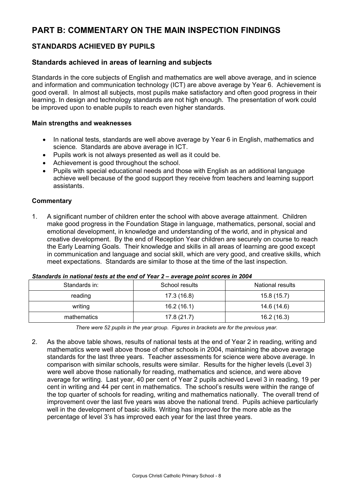# **PART B: COMMENTARY ON THE MAIN INSPECTION FINDINGS**

## **STANDARDS ACHIEVED BY PUPILS**

## **Standards achieved in areas of learning and subjects**

Standards in the core subjects of English and mathematics are well above average, and in science and information and communication technology (ICT) are above average by Year 6. Achievement is good overall. In almost all subjects, most pupils make satisfactory and often good progress in their learning. In design and technology standards are not high enough. The presentation of work could be improved upon to enable pupils to reach even higher standards.

#### **Main strengths and weaknesses**

- In national tests, standards are well above average by Year 6 in English, mathematics and science*.* Standards are above average in ICT.
- Pupils work is not always presented as well as it could be.
- Achievement is good throughout the school.
- Pupils with special educational needs and those with English as an additional language achieve well because of the good support they receive from teachers and learning support assistants.

#### **Commentary**

1. A significant number of children enter the school with above average attainment. Children make good progress in the Foundation Stage in language, mathematics, personal, social and emotional development, in knowledge and understanding of the world, and in physical and creative development. By the end of Reception Year children are securely on course to reach the Early Learning Goals. Their knowledge and skills in all areas of learning are good except in communication and language and social skill, which are very good, and creative skills, which meet expectations. Standards are similar to those at the time of the last inspection.

| Standards in: | School results | National results |  |
|---------------|----------------|------------------|--|
| reading       | 17.3 (16.8)    | 15.8(15.7)       |  |
| writing       | 16.2(16.1)     | 14.6 (14.6)      |  |
| mathematics   | 17.8(21.7)     | 16.2 (16.3)      |  |

#### *Standards in national tests at the end of Year 2 – average point scores in 2004*

*There were 52 pupils in the year group. Figures in brackets are for the previous year.* 

2. As the above table shows, results of national tests at the end of Year 2 in reading, writing and mathematics were well above those of other schools in 2004, maintaining the above average standards for the last three years. Teacher assessments for science were above average. In comparison with similar schools, results were similar. Results for the higher levels (Level 3) were well above those nationally for reading, mathematics and science, and were above average for writing. Last year, 40 per cent of Year 2 pupils achieved Level 3 in reading, 19 per cent in writing and 44 per cent in mathematics. The school's results were within the range of the top quarter of schools for reading, writing and mathematics nationally. The overall trend of improvement over the last five years was above the national trend. Pupils achieve particularly well in the development of basic skills. Writing has improved for the more able as the percentage of level 3's has improved each year for the last three years.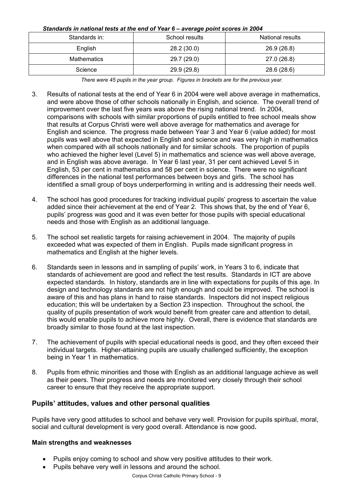#### *Standards in national tests at the end of Year 6 – average point scores in 2004*

| Standards in: | School results | National results |
|---------------|----------------|------------------|
| English       | 28.2 (30.0)    | 26.9 (26.8)      |
| Mathematics   | 29.7 (29.0)    | 27.0 (26.8)      |
| Science       | 29.9 (29.8)    | 28.6 (28.6)      |

*There were 45 pupils in the year group. Figures in brackets are for the previous year.* 

- 3. Results of national tests at the end of Year 6 in 2004 were well above average in mathematics, and were above those of other schools nationally in English, and science. The overall trend of improvement over the last five years was above the rising national trend. In 2004, comparisons with schools with similar proportions of pupils entitled to free school meals show that results at Corpus Christi were well above average for mathematics and average for English and science. The progress made between Year 3 and Year 6 (value added) for most pupils was well above that expected in English and science and was very high in mathematics when compared with all schools nationally and for similar schools. The proportion of pupils who achieved the higher level (Level 5) in mathematics and science was well above average, and in English was above average. In Year 6 last year, 31 per cent achieved Level 5 in English, 53 per cent in mathematics and 58 per cent in science. There were no significant differences in the national test performances between boys and girls. The school has identified a small group of boys underperforming in writing and is addressing their needs well.
- 4. The school has good procedures for tracking individual pupils' progress to ascertain the value added since their achievement at the end of Year 2. This shows that, by the end of Year 6, pupils' progress was good and it was even better for those pupils with special educational needs and those with English as an additional language.
- 5. The school set realistic targets for raising achievement in 2004. The majority of pupils exceeded what was expected of them in English. Pupils made significant progress in mathematics and English at the higher levels.
- 6. Standards seen in lessons and in sampling of pupils' work, in Years 3 to 6, indicate that standards of achievement are good and reflect the test results. Standards in ICT are above expected standards. In history, standards are in line with expectations for pupils of this age. In design and technology standards are not high enough and could be improved. The school is aware of this and has plans in hand to raise standards. Inspectors did not inspect religious education; this will be undertaken by a Section 23 inspection. Throughout the school, the quality of pupils presentation of work would benefit from greater care and attention to detail, this would enable pupils to achieve more highly. Overall, there is evidence that standards are broadly similar to those found at the last inspection.
- 7. The achievement of pupils with special educational needs is good, and they often exceed their individual targets. Higher-attaining pupils are usually challenged sufficiently, the exception being in Year 1 in mathematics.
- 8. Pupils from ethnic minorities and those with English as an additional language achieve as well as their peers. Their progress and needs are monitored very closely through their school career to ensure that they receive the appropriate support.

## **Pupils' attitudes, values and other personal qualities**

Pupils have very good attitudes to school and behave very well. Provision for pupils spiritual, moral, social and cultural development is very good overall. Attendance is now good**.** 

## **Main strengths and weaknesses**

- Pupils enjoy coming to school and show very positive attitudes to their work.
- Pupils behave very well in lessons and around the school.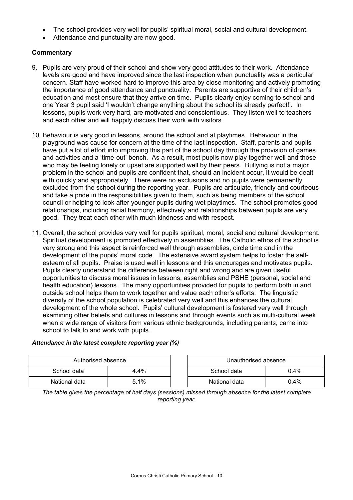- The school provides very well for pupils' spiritual moral, social and cultural development.
- Attendance and punctuality are now good.

## **Commentary**

- 9. Pupils are very proud of their school and show very good attitudes to their work. Attendance levels are good and have improved since the last inspection when punctuality was a particular concern. Staff have worked hard to improve this area by close monitoring and actively promoting the importance of good attendance and punctuality. Parents are supportive of their children's education and most ensure that they arrive on time. Pupils clearly enjoy coming to school and one Year 3 pupil said 'I wouldn't change anything about the school its already perfect!'. In lessons, pupils work very hard, are motivated and conscientious. They listen well to teachers and each other and will happily discuss their work with visitors.
- 10. Behaviour is very good in lessons, around the school and at playtimes. Behaviour in the playground was cause for concern at the time of the last inspection. Staff, parents and pupils have put a lot of effort into improving this part of the school day through the provision of games and activities and a 'time-out' bench. As a result, most pupils now play together well and those who may be feeling lonely or upset are supported well by their peers. Bullying is not a major problem in the school and pupils are confident that, should an incident occur, it would be dealt with quickly and appropriately. There were no exclusions and no pupils were permanently excluded from the school during the reporting year. Pupils are articulate, friendly and courteous and take a pride in the responsibilities given to them, such as being members of the school council or helping to look after younger pupils during wet playtimes. The school promotes good relationships, including racial harmony, effectively and relationships between pupils are very good. They treat each other with much kindness and with respect.
- 11. Overall, the school provides very well for pupils spiritual, moral, social and cultural development. Spiritual development is promoted effectively in assemblies. The Catholic ethos of the school is very strong and this aspect is reinforced well through assemblies, circle time and in the development of the pupils' moral code. The extensive award system helps to foster the selfesteem of all pupils. Praise is used well in lessons and this encourages and motivates pupils. Pupils clearly understand the difference between right and wrong and are given useful opportunities to discuss moral issues in lessons, assemblies and PSHE (personal, social and health education) lessons. The many opportunities provided for pupils to perform both in and outside school helps them to work together and value each other's efforts. The linguistic diversity of the school population is celebrated very well and this enhances the cultural development of the whole school. Pupils' cultural development is fostered very well through examining other beliefs and cultures in lessons and through events such as multi-cultural week when a wide range of visitors from various ethnic backgrounds, including parents, came into school to talk to and work with pupils.

## *Attendance in the latest complete reporting year (%)*

| Authorised absence |         |  | Unauthorised absence |         |  |
|--------------------|---------|--|----------------------|---------|--|
| School data        | $4.4\%$ |  | 0.4%<br>School data  |         |  |
| National data      | 5.1%    |  | National data        | $0.4\%$ |  |

*The table gives the percentage of half days (sessions) missed through absence for the latest complete reporting year.*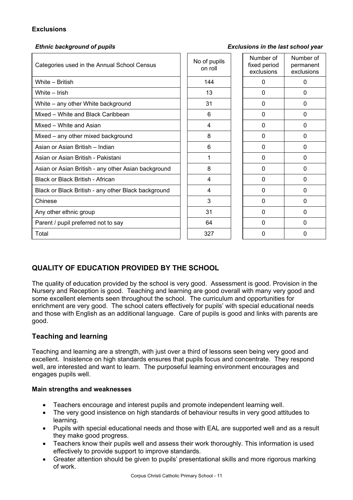## **Exclusions**

#### *Ethnic background of pupils Exclusions in the last school year*

| Categories used in the Annual School Census         | No of pupils<br>on roll | Number of<br>fixed period<br>exclusions | Number of<br>permanent<br>exclusions |
|-----------------------------------------------------|-------------------------|-----------------------------------------|--------------------------------------|
| White - British                                     | 144                     | 0                                       | 0                                    |
| White - Irish                                       | 13                      | 0                                       | 0                                    |
| White - any other White background                  | 31                      | $\Omega$                                | $\Omega$                             |
| Mixed – White and Black Caribbean                   | 6                       | 0                                       | $\mathbf{0}$                         |
| Mixed - White and Asian                             | 4                       | 0                                       | 0                                    |
| Mixed – any other mixed background                  | 8                       | 0                                       | $\Omega$                             |
| Asian or Asian British - Indian                     | 6                       | 0                                       | 0                                    |
| Asian or Asian British - Pakistani                  |                         | 0                                       | 0                                    |
| Asian or Asian British - any other Asian background | 8                       | $\Omega$                                | $\Omega$                             |
| Black or Black British - African                    | 4                       | $\mathbf{0}$                            | $\mathbf{0}$                         |
| Black or Black British - any other Black background | 4                       | 0                                       | 0                                    |
| Chinese                                             | 3                       | 0                                       | 0                                    |
| Any other ethnic group                              | 31                      | 0                                       | 0                                    |
| Parent / pupil preferred not to say                 | 64                      | 0                                       | $\Omega$                             |
| Total                                               | 327                     | 0                                       | 0                                    |

## **QUALITY OF EDUCATION PROVIDED BY THE SCHOOL**

The quality of education provided by the school is very good. Assessment is good. Provision in the Nursery and Reception is good. Teaching and learning are good overall with many very good and some excellent elements seen throughout the school. The curriculum and opportunities for enrichment are very good. The school caters effectively for pupils' with special educational needs and those with English as an additional language. Care of pupils is good and links with parents are good.

## **Teaching and learning**

Teaching and learning are a strength, with just over a third of lessons seen being very good and excellent. Insistence on high standards ensures that pupils focus and concentrate. They respond well, are interested and want to learn. The purposeful learning environment encourages and engages pupils well.

## **Main strengths and weaknesses**

- Teachers encourage and interest pupils and promote independent learning well.
- The very good insistence on high standards of behaviour results in very good attitudes to learning.
- Pupils with special educational needs and those with EAL are supported well and as a result they make good progress.
- Teachers know their pupils well and assess their work thoroughly. This information is used effectively to provide support to improve standards.
- Greater attention should be given to pupils' presentational skills and more rigorous marking of work.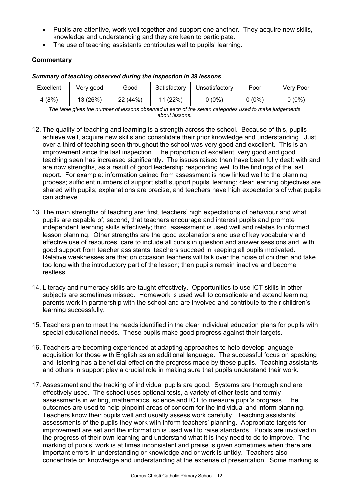- Pupils are attentive, work well together and support one another. They acquire new skills, knowledge and understanding and they are keen to participate.
- The use of teaching assistants contributes well to pupils' learning.

## **Commentary**

| Excellent | Very good | Good     | Satisfactory | Unsatisfactory | Poor     | Verv Poor |
|-----------|-----------|----------|--------------|----------------|----------|-----------|
| 4(8%)     | 13 (26%)  | 22 (44%) | 11(22%)      | $0(0\%)$       | $0(0\%)$ | $0(0\%)$  |

#### *Summary of teaching observed during the inspection in 39 lessons*

*The table gives the number of lessons observed in each of the seven categories used to make judgements about lessons.* 

- 12. The quality of teaching and learning is a strength across the school. Because of this, pupils achieve well, acquire new skills and consolidate their prior knowledge and understanding. Just over a third of teaching seen throughout the school was very good and excellent. This is an improvement since the last inspection. The proportion of excellent, very good and good teaching seen has increased significantly. The issues raised then have been fully dealt with and are now strengths, as a result of good leadership responding well to the findings of the last report. For example: information gained from assessment is now linked well to the planning process; sufficient numbers of support staff support pupils' learning; clear learning objectives are shared with pupils; explanations are precise, and teachers have high expectations of what pupils can achieve.
- 13. The main strengths of teaching are: first, teachers' high expectations of behaviour and what pupils are capable of; second, that teachers encourage and interest pupils and promote independent learning skills effectively; third, assessment is used well and relates to informed lesson planning. Other strengths are the good explanations and use of key vocabulary and effective use of resources; care to include all pupils in question and answer sessions and, with good support from teacher assistants, teachers succeed in keeping all pupils motivated. Relative weaknesses are that on occasion teachers will talk over the noise of children and take too long with the introductory part of the lesson; then pupils remain inactive and become restless.
- 14. Literacy and numeracy skills are taught effectively. Opportunities to use ICT skills in other subjects are sometimes missed. Homework is used well to consolidate and extend learning; parents work in partnership with the school and are involved and contribute to their children's learning successfully.
- 15. Teachers plan to meet the needs identified in the clear individual education plans for pupils with special educational needs. These pupils make good progress against their targets.
- 16. Teachers are becoming experienced at adapting approaches to help develop language acquisition for those with English as an additional language. The successful focus on speaking and listening has a beneficial effect on the progress made by these pupils. Teaching assistants and others in support play a crucial role in making sure that pupils understand their work.
- 17. Assessment and the tracking of individual pupils are good. Systems are thorough and are effectively used. The school uses optional tests, a variety of other tests and termly assessments in writing, mathematics, science and ICT to measure pupil's progress. The outcomes are used to help pinpoint areas of concern for the individual and inform planning. Teachers know their pupils well and usually assess work carefully. Teaching assistants' assessments of the pupils they work with inform teachers' planning. Appropriate targets for improvement are set and the information is used well to raise standards. Pupils are involved in the progress of their own learning and understand what it is they need to do to improve. The marking of pupils' work is at times inconsistent and praise is given sometimes when there are important errors in understanding or knowledge and or work is untidy. Teachers also concentrate on knowledge and understanding at the expense of presentation. Some marking is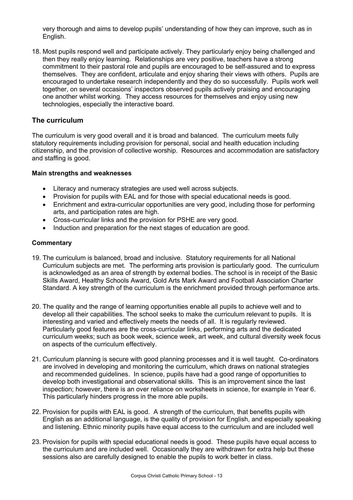very thorough and aims to develop pupils' understanding of how they can improve, such as in English.

18. Most pupils respond well and participate actively. They particularly enjoy being challenged and then they really enjoy learning. Relationships are very positive, teachers have a strong commitment to their pastoral role and pupils are encouraged to be self-assured and to express themselves. They are confident, articulate and enjoy sharing their views with others. Pupils are encouraged to undertake research independently and they do so successfully. Pupils work well together, on several occasions' inspectors observed pupils actively praising and encouraging one another whilst working. They access resources for themselves and enjoy using new technologies, especially the interactive board.

## **The curriculum**

The curriculum is very good overall and it is broad and balanced. The curriculum meets fully statutory requirements including provision for personal, social and health education including citizenship, and the provision of collective worship. Resources and accommodation are satisfactory and staffing is good.

#### **Main strengths and weaknesses**

- Literacy and numeracy strategies are used well across subjects.
- Provision for pupils with EAL and for those with special educational needs is good.
- Enrichment and extra-curricular opportunities are very good, including those for performing arts, and participation rates are high.
- Cross-curricular links and the provision for PSHE are very good.
- Induction and preparation for the next stages of education are good.

- 19. The curriculum is balanced, broad and inclusive. Statutory requirements for all National Curriculum subjects are met. The performing arts provision is particularly good. The curriculum is acknowledged as an area of strength by external bodies. The school is in receipt of the Basic Skills Award, Healthy Schools Award, Gold Arts Mark Award and Football Association Charter Standard. A key strength of the curriculum is the enrichment provided through performance arts.
- 20. The quality and the range of learning opportunities enable all pupils to achieve well and to develop all their capabilities. The school seeks to make the curriculum relevant to pupils. It is interesting and varied and effectively meets the needs of all. It is regularly reviewed. Particularly good features are the cross-curricular links, performing arts and the dedicated curriculum weeks; such as book week, science week, art week, and cultural diversity week focus on aspects of the curriculum effectively.
- 21. Curriculum planning is secure with good planning processes and it is well taught. Co-ordinators are involved in developing and monitoring the curriculum, which draws on national strategies and recommended guidelines. In science, pupils have had a good range of opportunities to develop both investigational and observational skills. This is an improvement since the last inspection; however, there is an over reliance on worksheets in science, for example in Year 6. This particularly hinders progress in the more able pupils.
- 22. Provision for pupils with EAL is good. A strength of the curriculum, that benefits pupils with English as an additional language, is the quality of provision for English, and especially speaking and listening. Ethnic minority pupils have equal access to the curriculum and are included well
- 23. Provision for pupils with special educational needs is good. These pupils have equal access to the curriculum and are included well. Occasionally they are withdrawn for extra help but these sessions also are carefully designed to enable the pupils to work better in class.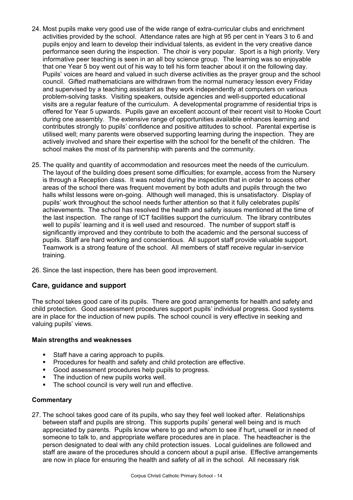- 24. Most pupils make very good use of the wide range of extra-curricular clubs and enrichment activities provided by the school. Attendance rates are high at 95 per cent in Years 3 to 6 and pupils enjoy and learn to develop their individual talents, as evident in the very creative dance performance seen during the inspection. The choir is very popular. Sport is a high priority. Very informative peer teaching is seen in an all boy science group. The learning was so enjoyable that one Year 5 boy went out of his way to tell his form teacher about it on the following day. Pupils' voices are heard and valued in such diverse activities as the prayer group and the school council. Gifted mathematicians are withdrawn from the normal numeracy lesson every Friday and supervised by a teaching assistant as they work independently at computers on various problem-solving tasks. Visiting speakers, outside agencies and well-supported educational visits are a regular feature of the curriculum. A developmental programme of residential trips is offered for Year 5 upwards. Pupils gave an excellent account of their recent visit to Hooke Court during one assembly. The extensive range of opportunities available enhances learning and contributes strongly to pupils' confidence and positive attitudes to school. Parental expertise is utilised well; many parents were observed supporting learning during the inspection. They are actively involved and share their expertise with the school for the benefit of the children. The school makes the most of its partnership with parents and the community.
- 25. The quality and quantity of accommodation and resources meet the needs of the curriculum. The layout of the building does present some difficulties; for example, access from the Nursery is through a Reception class. It was noted during the inspection that in order to access other areas of the school there was frequent movement by both adults and pupils through the two halls whilst lessons were on-going. Although well managed, this is unsatisfactory. Display of pupils' work throughout the school needs further attention so that it fully celebrates pupils' achievements. The school has resolved the health and safety issues mentioned at the time of the last inspection. The range of ICT facilities support the curriculum. The library contributes well to pupils' learning and it is well used and resourced. The number of support staff is significantly improved and they contribute to both the academic and the personal success of pupils. Staff are hard working and conscientious. All support staff provide valuable support. Teamwork is a strong feature of the school. All members of staff receive regular in-service training.
- 26. Since the last inspection, there has been good improvement.

## **Care, guidance and support**

The school takes good care of its pupils. There are good arrangements for health and safety and child protection. Good assessment procedures support pupils' individual progress. Good systems are in place for the induction of new pupils. The school council is very effective in seeking and valuing pupils' views.

#### **Main strengths and weaknesses**

- Staff have a caring approach to pupils.
- **Procedures for health and safety and child protection are effective.**
- Good assessment procedures help pupils to progress.
- The induction of new pupils works well.
- The school council is very well run and effective.

#### **Commentary**

27. The school takes good care of its pupils, who say they feel well looked after. Relationships between staff and pupils are strong. This supports pupils' general well being and is much appreciated by parents. Pupils know where to go and whom to see if hurt, unwell or in need of someone to talk to, and appropriate welfare procedures are in place. The headteacher is the person designated to deal with any child protection issues. Local guidelines are followed and staff are aware of the procedures should a concern about a pupil arise. Effective arrangements are now in place for ensuring the health and safety of all in the school. All necessary risk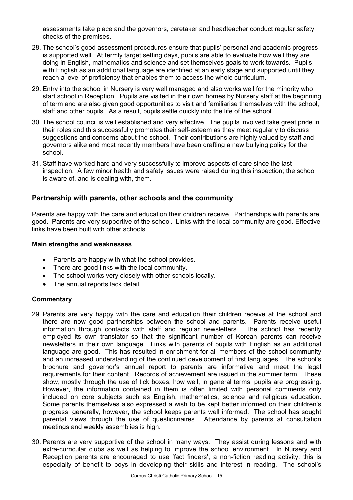assessments take place and the governors, caretaker and headteacher conduct regular safety checks of the premises.

- 28. The school's good assessment procedures ensure that pupils' personal and academic progress is supported well. At termly target setting days, pupils are able to evaluate how well they are doing in English, mathematics and science and set themselves goals to work towards. Pupils with English as an additional language are identified at an early stage and supported until they reach a level of proficiency that enables them to access the whole curriculum.
- 29. Entry into the school in Nursery is very well managed and also works well for the minority who start school in Reception. Pupils are visited in their own homes by Nursery staff at the beginning of term and are also given good opportunities to visit and familiarise themselves with the school, staff and other pupils. As a result, pupils settle quickly into the life of the school.
- 30. The school council is well established and very effective. The pupils involved take great pride in their roles and this successfully promotes their self-esteem as they meet regularly to discuss suggestions and concerns about the school. Their contributions are highly valued by staff and governors alike and most recently members have been drafting a new bullying policy for the school.
- 31. Staff have worked hard and very successfully to improve aspects of care since the last inspection. A few minor health and safety issues were raised during this inspection; the school is aware of, and is dealing with, them.

## **Partnership with parents, other schools and the community**

Parents are happy with the care and education their children receive. Partnerships with parents are good**.** Parents are very supportive of the school.Links with the local community are good**.** Effective links have been built with other schools.

#### **Main strengths and weaknesses**

- Parents are happy with what the school provides.
- There are good links with the local community.
- The school works very closely with other schools locally.
- The annual reports lack detail.

- 29. Parents are very happy with the care and education their children receive at the school and there are now good partnerships between the school and parents. Parents receive useful information through contacts with staff and regular newsletters. The school has recently employed its own translator so that the significant number of Korean parents can receive newsletters in their own language. Links with parents of pupils with English as an additional language are good. This has resulted in enrichment for all members of the school community and an increased understanding of the continued development of first languages. The school's brochure and governor's annual report to parents are informative and meet the legal requirements for their content. Records of achievement are issued in the summer term. These show, mostly through the use of tick boxes, how well, in general terms, pupils are progressing. However, the information contained in them is often limited with personal comments only included on core subjects such as English, mathematics, science and religious education. Some parents themselves also expressed a wish to be kept better informed on their children's progress; generally, however, the school keeps parents well informed. The school has sought parental views through the use of questionnaires. Attendance by parents at consultation meetings and weekly assemblies is high.
- 30. Parents are very supportive of the school in many ways. They assist during lessons and with extra-curricular clubs as well as helping to improve the school environment. In Nursery and Reception parents are encouraged to use 'fact finders', a non-fiction reading activity; this is especially of benefit to boys in developing their skills and interest in reading. The school's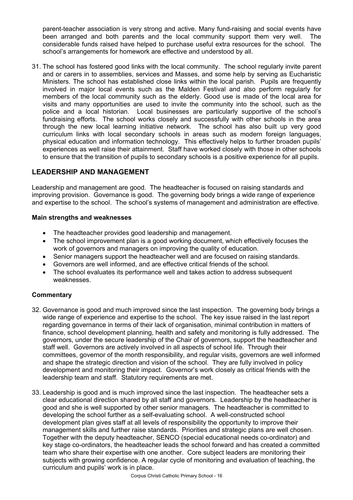parent-teacher association is very strong and active. Many fund-raising and social events have been arranged and both parents and the local community support them very well. The considerable funds raised have helped to purchase useful extra resources for the school. The school's arrangements for homework are effective and understood by all.

31. The school has fostered good links with the local community. The school regularly invite parent and or carers in to assemblies, services and Masses, and some help by serving as Eucharistic Ministers. The school has established close links within the local parish. Pupils are frequently involved in major local events such as the Malden Festival and also perform regularly for members of the local community such as the elderly. Good use is made of the local area for visits and many opportunities are used to invite the community into the school, such as the police and a local historian. Local businesses are particularly supportive of the school's fundraising efforts. The school works closely and successfully with other schools in the area through the new local learning initiative network. The school has also built up very good curriculum links with local secondary schools in areas such as modern foreign languages, physical education and information technology. This effectively helps to further broaden pupils' experiences as well raise their attainment. Staff have worked closely with those in other schools to ensure that the transition of pupils to secondary schools is a positive experience for all pupils.

## **LEADERSHIP AND MANAGEMENT**

Leadership and management are good. The headteacher is focused on raising standards and improving provision. Governance is good. The governing body brings a wide range of experience and expertise to the school. The school's systems of management and administration are effective.

## **Main strengths and weaknesses**

- The headteacher provides good leadership and management.
- The school improvement plan is a good working document, which effectively focuses the work of governors and managers on improving the quality of education.
- Senior managers support the headteacher well and are focused on raising standards.
- Governors are well informed, and are effective critical friends of the school.
- The school evaluates its performance well and takes action to address subsequent weaknesses.

- 32. Governance is good and much improved since the last inspection. The governing body brings a wide range of experience and expertise to the school. The key issue raised in the last report regarding governance in terms of their lack of organisation, minimal contribution in matters of finance, school development planning, health and safety and monitoring is fully addressed. The governors, under the secure leadership of the Chair of governors, support the headteacher and staff well. Governors are actively involved in all aspects of school life. Through their committees, governor of the month responsibility, and regular visits, governors are well informed and shape the strategic direction and vision of the school. They are fully involved in policy development and monitoring their impact. Governor's work closely as critical friends with the leadership team and staff. Statutory requirements are met.
- 33. Leadership is good and is much improved since the last inspection. The headteacher sets a clear educational direction shared by all staff and governors. Leadership by the headteacher is good and she is well supported by other senior managers. The headteacher is committed to developing the school further as a self-evaluating school. A well-constructed school development plan gives staff at all levels of responsibility the opportunity to improve their management skills and further raise standards. Priorities and strategic plans are well chosen. Together with the deputy headteacher, SENCO (special educational needs co-ordinator) and key stage co-ordinators, the headteacher leads the school forward and has created a committed team who share their expertise with one another. Core subject leaders are monitoring their subjects with growing confidence. A regular cycle of monitoring and evaluation of teaching, the curriculum and pupils' work is in place.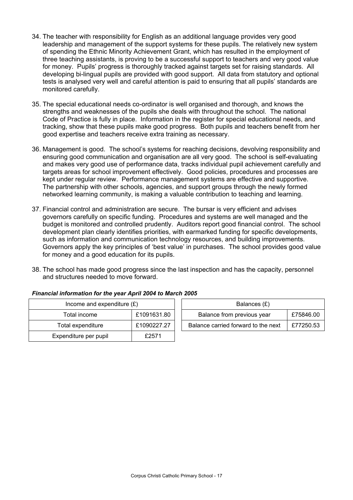- 34. The teacher with responsibility for English as an additional language provides very good leadership and management of the support systems for these pupils. The relatively new system of spending the Ethnic Minority Achievement Grant, which has resulted in the employment of three teaching assistants, is proving to be a successful support to teachers and very good value for money. Pupils' progress is thoroughly tracked against targets set for raising standards. All developing bi-lingual pupils are provided with good support. All data from statutory and optional tests is analysed very well and careful attention is paid to ensuring that all pupils' standards are monitored carefully.
- 35. The special educational needs co-ordinator is well organised and thorough, and knows the strengths and weaknesses of the pupils she deals with throughout the school. The national Code of Practice is fully in place. Information in the register for special educational needs, and tracking, show that these pupils make good progress. Both pupils and teachers benefit from her good expertise and teachers receive extra training as necessary.
- 36. Management is good. The school's systems for reaching decisions, devolving responsibility and ensuring good communication and organisation are all very good. The school is self-evaluating and makes very good use of performance data, tracks individual pupil achievement carefully and targets areas for school improvement effectively. Good policies, procedures and processes are kept under regular review. Performance management systems are effective and supportive. The partnership with other schools, agencies, and support groups through the newly formed networked learning community, is making a valuable contribution to teaching and learning.
- 37. Financial control and administration are secure. The bursar is very efficient and advises governors carefully on specific funding. Procedures and systems are well managed and the budget is monitored and controlled prudently. Auditors report good financial control. The school development plan clearly identifies priorities, with earmarked funding for specific developments, such as information and communication technology resources, and building improvements. Governors apply the key principles of 'best value' in purchases. The school provides good value for money and a good education for its pupils.
- 38. The school has made good progress since the last inspection and has the capacity, personnel and structures needed to move forward.

| Income and expenditure $(E)$ |             | Balances (£)                                     |  |  |
|------------------------------|-------------|--------------------------------------------------|--|--|
| Total income                 | £1091631.80 | Balance from previous year<br>£75846.00          |  |  |
| Total expenditure            | £1090227.27 | Balance carried forward to the next<br>£77250.53 |  |  |
| Expenditure per pupil        | £2571       |                                                  |  |  |

## *Financial information for the year April 2004 to March 2005*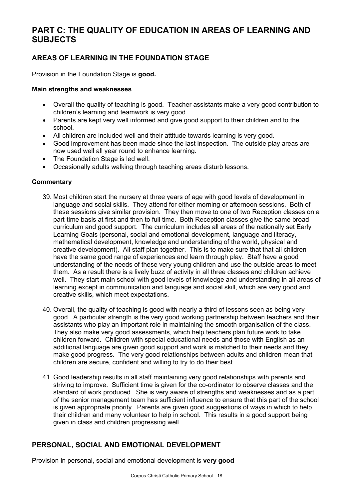# **PART C: THE QUALITY OF EDUCATION IN AREAS OF LEARNING AND SUBJECTS**

## **AREAS OF LEARNING IN THE FOUNDATION STAGE**

Provision in the Foundation Stage is **good.** 

## **Main strengths and weaknesses**

- Overall the quality of teaching is good. Teacher assistants make a very good contribution to children's learning and teamwork is very good.
- Parents are kept very well informed and give good support to their children and to the school.
- All children are included well and their attitude towards learning is very good.
- Good improvement has been made since the last inspection. The outside play areas are now used well all year round to enhance learning.
- The Foundation Stage is led well.
- Occasionally adults walking through teaching areas disturb lessons.

## **Commentary**

- 39. Most children start the nursery at three years of age with good levels of development in language and social skills. They attend for either morning or afternoon sessions. Both of these sessions give similar provision. They then move to one of two Reception classes on a part-time basis at first and then to full time. Both Reception classes give the same broad curriculum and good support. The curriculum includes all areas of the nationally set Early Learning Goals (personal, social and emotional development, language and literacy, mathematical development, knowledge and understanding of the world, physical and creative development). All staff plan together. This is to make sure that that all children have the same good range of experiences and learn through play. Staff have a good understanding of the needs of these very young children and use the outside areas to meet them. As a result there is a lively buzz of activity in all three classes and children achieve well. They start main school with good levels of knowledge and understanding in all areas of learning except in communication and language and social skill, which are very good and creative skills, which meet expectations.
- 40. Overall, the quality of teaching is good with nearly a third of lessons seen as being very good. A particular strength is the very good working partnership between teachers and their assistants who play an important role in maintaining the smooth organisation of the class. They also make very good assessments, which help teachers plan future work to take children forward. Children with special educational needs and those with English as an additional language are given good support and work is matched to their needs and they make good progress. The very good relationships between adults and children mean that children are secure, confident and willing to try to do their best.
- 41. Good leadership results in all staff maintaining very good relationships with parents and striving to improve. Sufficient time is given for the co-ordinator to observe classes and the standard of work produced. She is very aware of strengths and weaknesses and as a part of the senior management team has sufficient influence to ensure that this part of the school is given appropriate priority. Parents are given good suggestions of ways in which to help their children and many volunteer to help in school. This results in a good support being given in class and children progressing well.

## **PERSONAL, SOCIAL AND EMOTIONAL DEVELOPMENT**

Provision in personal, social and emotional development is **very good**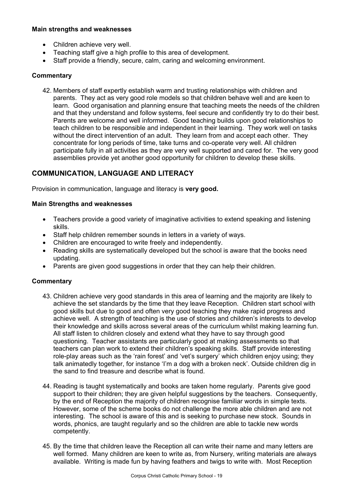## **Main strengths and weaknesses**

- Children achieve very well.
- Teaching staff give a high profile to this area of development.
- Staff provide a friendly, secure, calm, caring and welcoming environment.

#### **Commentary**

42. Members of staff expertly establish warm and trusting relationships with children and parents. They act as very good role models so that children behave well and are keen to learn. Good organisation and planning ensure that teaching meets the needs of the children and that they understand and follow systems, feel secure and confidently try to do their best. Parents are welcome and well informed. Good teaching builds upon good relationships to teach children to be responsible and independent in their learning. They work well on tasks without the direct intervention of an adult. They learn from and accept each other. They concentrate for long periods of time, take turns and co-operate very well. All children participate fully in all activities as they are very well supported and cared for. The very good assemblies provide yet another good opportunity for children to develop these skills.

## **COMMUNICATION, LANGUAGE AND LITERACY**

Provision in communication, language and literacy is **very good.** 

#### **Main Strengths and weaknesses**

- Teachers provide a good variety of imaginative activities to extend speaking and listening skills.
- Staff help children remember sounds in letters in a variety of ways.
- Children are encouraged to write freely and independently.
- Reading skills are systematically developed but the school is aware that the books need updating.
- Parents are given good suggestions in order that they can help their children.

- 43. Children achieve very good standards in this area of learning and the majority are likely to achieve the set standards by the time that they leave Reception. Children start school with good skills but due to good and often very good teaching they make rapid progress and achieve well. A strength of teaching is the use of stories and children's interests to develop their knowledge and skills across several areas of the curriculum whilst making learning fun. All staff listen to children closely and extend what they have to say through good questioning. Teacher assistants are particularly good at making assessments so that teachers can plan work to extend their children's speaking skills. Staff provide interesting role-play areas such as the 'rain forest' and 'vet's surgery' which children enjoy using; they talk animatedly together, for instance 'I'm a dog with a broken neck'. Outside children dig in the sand to find treasure and describe what is found.
- 44. Reading is taught systematically and books are taken home regularly. Parents give good support to their children; they are given helpful suggestions by the teachers. Consequently, by the end of Reception the majority of children recognise familiar words in simple texts. However, some of the scheme books do not challenge the more able children and are not interesting. The school is aware of this and is seeking to purchase new stock. Sounds in words, phonics, are taught regularly and so the children are able to tackle new words competently.
- 45. By the time that children leave the Reception all can write their name and many letters are well formed. Many children are keen to write as, from Nursery, writing materials are always available. Writing is made fun by having feathers and twigs to write with. Most Reception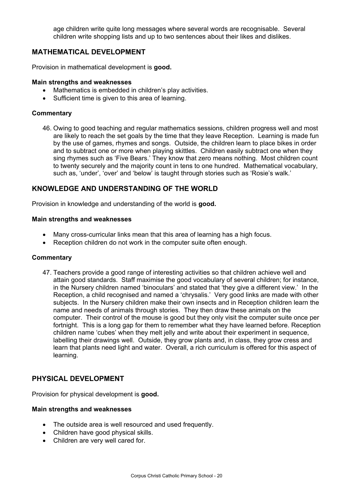age children write quite long messages where several words are recognisable. Several children write shopping lists and up to two sentences about their likes and dislikes.

## **MATHEMATICAL DEVELOPMENT**

Provision in mathematical development is **good.** 

#### **Main strengths and weaknesses**

- Mathematics is embedded in children's play activities.
- Sufficient time is given to this area of learning.

#### **Commentary**

46. Owing to good teaching and regular mathematics sessions, children progress well and most are likely to reach the set goals by the time that they leave Reception. Learning is made fun by the use of games, rhymes and songs. Outside, the children learn to place bikes in order and to subtract one or more when playing skittles. Children easily subtract one when they sing rhymes such as 'Five Bears.' They know that zero means nothing. Most children count to twenty securely and the majority count in tens to one hundred. Mathematical vocabulary, such as, 'under', 'over' and 'below' is taught through stories such as 'Rosie's walk.'

## **KNOWLEDGE AND UNDERSTANDING OF THE WORLD**

Provision in knowledge and understanding of the world is **good.** 

#### **Main strengths and weaknesses**

- Many cross-curricular links mean that this area of learning has a high focus.
- Reception children do not work in the computer suite often enough.

#### **Commentary**

47. Teachers provide a good range of interesting activities so that children achieve well and attain good standards. Staff maximise the good vocabulary of several children; for instance, in the Nursery children named 'binoculars' and stated that 'they give a different view.' In the Reception, a child recognised and named a 'chrysalis.' Very good links are made with other subjects. In the Nursery children make their own insects and in Reception children learn the name and needs of animals through stories. They then draw these animals on the computer. Their control of the mouse is good but they only visit the computer suite once per fortnight. This is a long gap for them to remember what they have learned before. Reception children name 'cubes' when they melt jelly and write about their experiment in sequence, labelling their drawings well. Outside, they grow plants and, in class, they grow cress and learn that plants need light and water. Overall, a rich curriculum is offered for this aspect of learning.

## **PHYSICAL DEVELOPMENT**

Provision for physical development is **good.** 

#### **Main strengths and weaknesses**

- The outside area is well resourced and used frequently.
- Children have good physical skills.
- Children are very well cared for.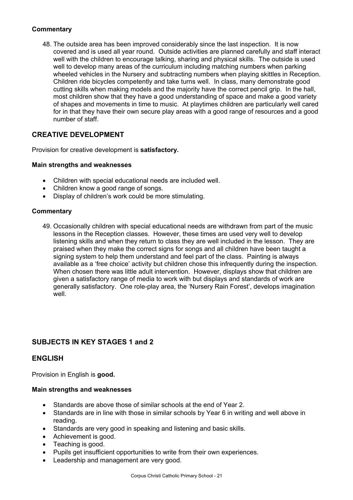## **Commentary**

48. The outside area has been improved considerably since the last inspection. It is now covered and is used all year round. Outside activities are planned carefully and staff interact well with the children to encourage talking, sharing and physical skills. The outside is used well to develop many areas of the curriculum including matching numbers when parking wheeled vehicles in the Nursery and subtracting numbers when playing skittles in Reception. Children ride bicycles competently and take turns well. In class, many demonstrate good cutting skills when making models and the majority have the correct pencil grip. In the hall, most children show that they have a good understanding of space and make a good variety of shapes and movements in time to music. At playtimes children are particularly well cared for in that they have their own secure play areas with a good range of resources and a good number of staff.

## **CREATIVE DEVELOPMENT**

Provision for creative development is **satisfactory.**

#### **Main strengths and weaknesses**

- Children with special educational needs are included well.
- Children know a good range of songs.
- Display of children's work could be more stimulating.

#### **Commentary**

49. Occasionally children with special educational needs are withdrawn from part of the music lessons in the Reception classes. However, these times are used very well to develop listening skills and when they return to class they are well included in the lesson. They are praised when they make the correct signs for songs and all children have been taught a signing system to help them understand and feel part of the class. Painting is always available as a 'free choice' activity but children chose this infrequently during the inspection. When chosen there was little adult intervention. However, displays show that children are given a satisfactory range of media to work with but displays and standards of work are generally satisfactory. One role-play area, the 'Nursery Rain Forest', develops imagination well.

## **SUBJECTS IN KEY STAGES 1 and 2**

## **ENGLISH**

Provision in English is **good.**

#### **Main strengths and weaknesses**

- Standards are above those of similar schools at the end of Year 2.
- Standards are in line with those in similar schools by Year 6 in writing and well above in reading.
- Standards are very good in speaking and listening and basic skills.
- Achievement is good.
- Teaching is good.
- Pupils get insufficient opportunities to write from their own experiences.
- Leadership and management are very good.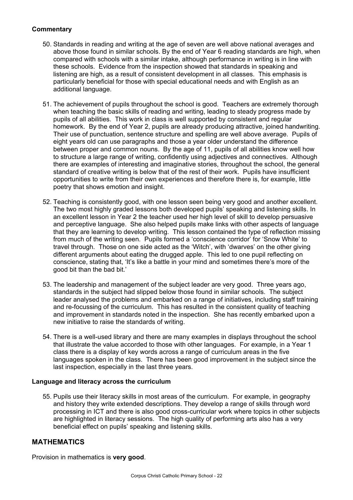## **Commentary**

- 50. Standards in reading and writing at the age of seven are well above national averages and above those found in similar schools. By the end of Year 6 reading standards are high, when compared with schools with a similar intake, although performance in writing is in line with these schools. Evidence from the inspection showed that standards in speaking and listening are high, as a result of consistent development in all classes. This emphasis is particularly beneficial for those with special educational needs and with English as an additional language.
- 51. The achievement of pupils throughout the school is good. Teachers are extremely thorough when teaching the basic skills of reading and writing, leading to steady progress made by pupils of all abilities. This work in class is well supported by consistent and regular homework. By the end of Year 2, pupils are already producing attractive, joined handwriting. Their use of punctuation, sentence structure and spelling are well above average. Pupils of eight years old can use paragraphs and those a year older understand the difference between proper and common nouns. By the age of 11, pupils of all abilities know well how to structure a large range of writing, confidently using adjectives and connectives. Although there are examples of interesting and imaginative stories, throughout the school, the general standard of creative writing is below that of the rest of their work. Pupils have insufficient opportunities to write from their own experiences and therefore there is, for example, little poetry that shows emotion and insight.
- 52. Teaching is consistently good, with one lesson seen being very good and another excellent. The two most highly graded lessons both developed pupils' speaking and listening skills. In an excellent lesson in Year 2 the teacher used her high level of skill to develop persuasive and perceptive language. She also helped pupils make links with other aspects of language that they are learning to develop writing. This lesson contained the type of reflection missing from much of the writing seen. Pupils formed a 'conscience corridor' for 'Snow White' to travel through. Those on one side acted as the 'Witch', with 'dwarves' on the other giving different arguments about eating the drugged apple. This led to one pupil reflecting on conscience, stating that, 'It's like a battle in your mind and sometimes there's more of the good bit than the bad bit.'
- 53. The leadership and management of the subject leader are very good. Three years ago, standards in the subject had slipped below those found in similar schools. The subject leader analysed the problems and embarked on a range of initiatives, including staff training and re-focussing of the curriculum. This has resulted in the consistent quality of teaching and improvement in standards noted in the inspection. She has recently embarked upon a new initiative to raise the standards of writing.
- 54. There is a well-used library and there are many examples in displays throughout the school that illustrate the value accorded to those with other languages. For example, in a Year 1 class there is a display of key words across a range of curriculum areas in the five languages spoken in the class. There has been good improvement in the subject since the last inspection, especially in the last three years.

## **Language and literacy across the curriculum**

55. Pupils use their literacy skills in most areas of the curriculum. For example, in geography and history they write extended descriptions. They develop a range of skills through word processing in ICT and there is also good cross-curricular work where topics in other subjects are highlighted in literacy sessions. The high quality of performing arts also has a very beneficial effect on pupils' speaking and listening skills.

## **MATHEMATICS**

Provision in mathematics is **very good**.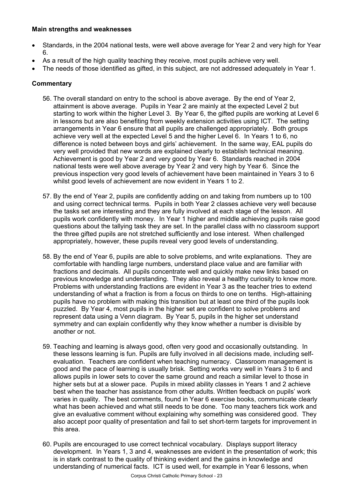## **Main strengths and weaknesses**

- Standards, in the 2004 national tests, were well above average for Year 2 and very high for Year 6.
- As a result of the high quality teaching they receive, most pupils achieve very well.
- The needs of those identified as gifted, in this subject, are not addressed adequately in Year 1.

- 56. The overall standard on entry to the school is above average. By the end of Year 2, attainment is above average. Pupils in Year 2 are mainly at the expected Level 2 but starting to work within the higher Level 3. By Year 6, the gifted pupils are working at Level 6 in lessons but are also benefiting from weekly extension activities using ICT. The setting arrangements in Year 6 ensure that all pupils are challenged appropriately. Both groups achieve very well at the expected Level 5 and the higher Level 6. In Years 1 to 6, no difference is noted between boys and girls' achievement. In the same way, EAL pupils do very well provided that new words are explained clearly to establish technical meaning. Achievement is good by Year 2 and very good by Year 6. Standards reached in 2004 national tests were well above average by Year 2 and very high by Year 6. Since the previous inspection very good levels of achievement have been maintained in Years 3 to 6 whilst good levels of achievement are now evident in Years 1 to 2.
- 57. By the end of Year 2, pupils are confidently adding on and taking from numbers up to 100 and using correct technical terms. Pupils in both Year 2 classes achieve very well because the tasks set are interesting and they are fully involved at each stage of the lesson. All pupils work confidently with money. In Year 1 higher and middle achieving pupils raise good questions about the tallying task they are set. In the parallel class with no classroom support the three gifted pupils are not stretched sufficiently and lose interest. When challenged appropriately, however, these pupils reveal very good levels of understanding.
- 58. By the end of Year 6, pupils are able to solve problems, and write explanations. They are comfortable with handling large numbers, understand place value and are familiar with fractions and decimals. All pupils concentrate well and quickly make new links based on previous knowledge and understanding. They also reveal a healthy curiosity to know more. Problems with understanding fractions are evident in Year 3 as the teacher tries to extend understanding of what a fraction is from a focus on thirds to one on tenths. High-attaining pupils have no problem with making this transition but at least one third of the pupils look puzzled. By Year 4, most pupils in the higher set are confident to solve problems and represent data using a Venn diagram. By Year 5, pupils in the higher set understand symmetry and can explain confidently why they know whether a number is divisible by another or not.
- 59. Teaching and learning is always good, often very good and occasionally outstanding. In these lessons learning is fun. Pupils are fully involved in all decisions made, including selfevaluation. Teachers are confident when teaching numeracy. Classroom management is good and the pace of learning is usually brisk. Setting works very well in Years 3 to 6 and allows pupils in lower sets to cover the same ground and reach a similar level to those in higher sets but at a slower pace. Pupils in mixed ability classes in Years 1 and 2 achieve best when the teacher has assistance from other adults. Written feedback on pupils' work varies in quality. The best comments, found in Year 6 exercise books, communicate clearly what has been achieved and what still needs to be done. Too many teachers tick work and give an evaluative comment without explaining why something was considered good. They also accept poor quality of presentation and fail to set short-term targets for improvement in this area.
- 60. Pupils are encouraged to use correct technical vocabulary. Displays support literacy development. In Years 1, 3 and 4, weaknesses are evident in the presentation of work; this is in stark contrast to the quality of thinking evident and the gains in knowledge and understanding of numerical facts. ICT is used well, for example in Year 6 lessons, when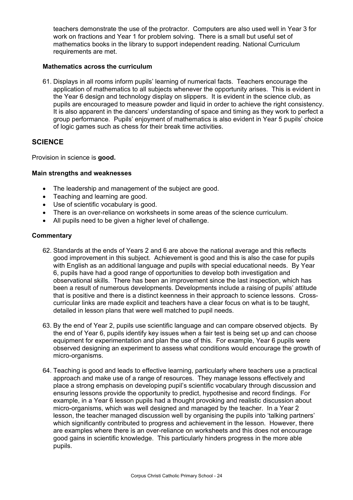teachers demonstrate the use of the protractor. Computers are also used well in Year 3 for work on fractions and Year 1 for problem solving.There is a small but useful set of mathematics books in the library to support independent reading. National Curriculum requirements are met.

#### **Mathematics across the curriculum**

61. Displays in all rooms inform pupils' learning of numerical facts. Teachers encourage the application of mathematics to all subjects whenever the opportunity arises. This is evident in the Year 6 design and technology display on slippers. It is evident in the science club, as pupils are encouraged to measure powder and liquid in order to achieve the right consistency. It is also apparent in the dancers' understanding of space and timing as they work to perfect a group performance. Pupils' enjoyment of mathematics is also evident in Year 5 pupils' choice of logic games such as chess for their break time activities.

## **SCIENCE**

Provision in science is **good.** 

#### **Main strengths and weaknesses**

- The leadership and management of the subject are good.
- Teaching and learning are good.
- Use of scientific vocabulary is good.
- There is an over-reliance on worksheets in some areas of the science curriculum.
- All pupils need to be given a higher level of challenge.

- 62. Standards at the ends of Years 2 and 6 are above the national average and this reflects good improvement in this subject. Achievement is good and this is also the case for pupils with English as an additional language and pupils with special educational needs. By Year 6, pupils have had a good range of opportunities to develop both investigation and observational skills. There has been an improvement since the last inspection, which has been a result of numerous developments. Developments include a raising of pupils' attitude that is positive and there is a distinct keenness in their approach to science lessons. Crosscurricular links are made explicit and teachers have a clear focus on what is to be taught, detailed in lesson plans that were well matched to pupil needs.
- 63. By the end of Year 2, pupils use scientific language and can compare observed objects. By the end of Year 6, pupils identify key issues when a fair test is being set up and can choose equipment for experimentation and plan the use of this. For example, Year 6 pupils were observed designing an experiment to assess what conditions would encourage the growth of micro-organisms.
- 64. Teaching is good and leads to effective learning, particularly where teachers use a practical approach and make use of a range of resources. They manage lessons effectively and place a strong emphasis on developing pupil's scientific vocabulary through discussion and ensuring lessons provide the opportunity to predict, hypothesise and record findings. For example, in a Year 6 lesson pupils had a thought provoking and realistic discussion about micro-organisms, which was well designed and managed by the teacher. In a Year 2 lesson, the teacher managed discussion well by organising the pupils into 'talking partners' which significantly contributed to progress and achievement in the lesson. However, there are examples where there is an over-reliance on worksheets and this does not encourage good gains in scientific knowledge. This particularly hinders progress in the more able pupils.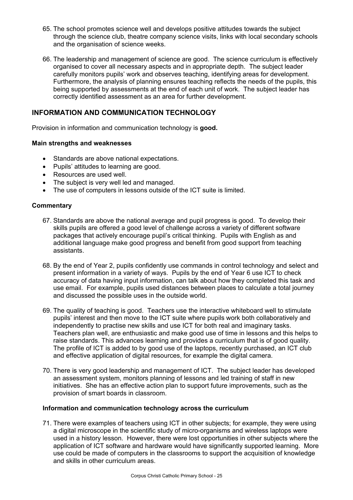- 65. The school promotes science well and develops positive attitudes towards the subject through the science club, theatre company science visits, links with local secondary schools and the organisation of science weeks.
- 66. The leadership and management of science are good. The science curriculum is effectively organised to cover all necessary aspects and in appropriate depth. The subject leader carefully monitors pupils' work and observes teaching, identifying areas for development. Furthermore, the analysis of planning ensures teaching reflects the needs of the pupils, this being supported by assessments at the end of each unit of work. The subject leader has correctly identified assessment as an area for further development.

## **INFORMATION AND COMMUNICATION TECHNOLOGY**

Provision in information and communication technology is **good.** 

## **Main strengths and weaknesses**

- Standards are above national expectations.
- Pupils' attitudes to learning are good.
- Resources are used well.
- The subject is very well led and managed.
- The use of computers in lessons outside of the ICT suite is limited.

## **Commentary**

- 67. Standards are above the national average and pupil progress is good. To develop their skills pupils are offered a good level of challenge across a variety of different software packages that actively encourage pupil's critical thinking. Pupils with English as and additional language make good progress and benefit from good support from teaching assistants.
- 68. By the end of Year 2, pupils confidently use commands in control technology and select and present information in a variety of ways. Pupils by the end of Year 6 use ICT to check accuracy of data having input information, can talk about how they completed this task and use email. For example, pupils used distances between places to calculate a total journey and discussed the possible uses in the outside world.
- 69. The quality of teaching is good. Teachers use the interactive whiteboard well to stimulate pupils' interest and then move to the ICT suite where pupils work both collaboratively and independently to practise new skills and use ICT for both real and imaginary tasks. Teachers plan well, are enthusiastic and make good use of time in lessons and this helps to raise standards. This advances learning and provides a curriculum that is of good quality. The profile of ICT is added to by good use of the laptops, recently purchased, an ICT club and effective application of digital resources, for example the digital camera.
- 70. There is very good leadership and management of ICT. The subject leader has developed an assessment system, monitors planning of lessons and led training of staff in new initiatives. She has an effective action plan to support future improvements, such as the provision of smart boards in classroom.

## **Information and communication technology across the curriculum**

71. There were examples of teachers using ICT in other subjects; for example, they were using a digital microscope in the scientific study of micro-organisms and wireless laptops were used in a history lesson. However, there were lost opportunities in other subjects where the application of ICT software and hardware would have significantly supported learning. More use could be made of computers in the classrooms to support the acquisition of knowledge and skills in other curriculum areas.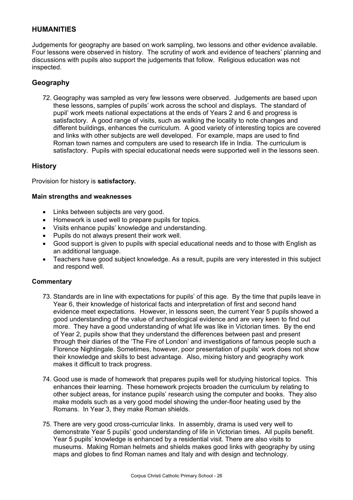## **HUMANITIES**

Judgements for geography are based on work sampling, two lessons and other evidence available. Four lessons were observed in history. The scrutiny of work and evidence of teachers' planning and discussions with pupils also support the judgements that follow. Religious education was not inspected.

## **Geography**

72. Geography was sampled as very few lessons were observed. Judgements are based upon these lessons, samples of pupils' work across the school and displays. The standard of pupil' work meets national expectations at the ends of Years 2 and 6 and progress is satisfactory. A good range of visits, such as walking the locality to note changes and different buildings, enhances the curriculum. A good variety of interesting topics are covered and links with other subjects are well developed. For example, maps are used to find Roman town names and computers are used to research life in India. The curriculum is satisfactory. Pupils with special educational needs were supported well in the lessons seen.

## **History**

Provision for history is **satisfactory.** 

#### **Main strengths and weaknesses**

- Links between subjects are very good.
- Homework is used well to prepare pupils for topics.
- Visits enhance pupils' knowledge and understanding.
- Pupils do not always present their work well.
- Good support is given to pupils with special educational needs and to those with English as an additional language.
- Teachers have good subject knowledge. As a result, pupils are very interested in this subject and respond well.

- 73. Standards are in line with expectations for pupils' of this age. By the time that pupils leave in Year 6, their knowledge of historical facts and interpretation of first and second hand evidence meet expectations. However, in lessons seen, the current Year 5 pupils showed a good understanding of the value of archaeological evidence and are very keen to find out more. They have a good understanding of what life was like in Victorian times. By the end of Year 2, pupils show that they understand the differences between past and present through their diaries of the 'The Fire of London' and investigations of famous people such a Florence Nightingale. Sometimes, however, poor presentation of pupils' work does not show their knowledge and skills to best advantage. Also, mixing history and geography work makes it difficult to track progress.
- 74. Good use is made of homework that prepares pupils well for studying historical topics. This enhances their learning. These homework projects broaden the curriculum by relating to other subject areas, for instance pupils' research using the computer and books. They also make models such as a very good model showing the under-floor heating used by the Romans. In Year 3, they make Roman shields.
- 75. There are very good cross-curricular links. In assembly, drama is used very well to demonstrate Year 5 pupils' good understanding of life in Victorian times. All pupils benefit. Year 5 pupils' knowledge is enhanced by a residential visit. There are also visits to museums. Making Roman helmets and shields makes good links with geography by using maps and globes to find Roman names and Italy and with design and technology.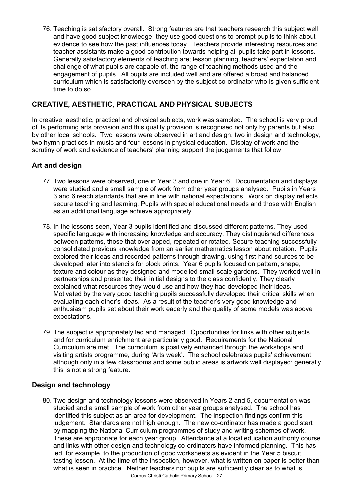76. Teaching is satisfactory overall. Strong features are that teachers research this subject well and have good subject knowledge; they use good questions to prompt pupils to think about evidence to see how the past influences today. Teachers provide interesting resources and teacher assistants make a good contribution towards helping all pupils take part in lessons. Generally satisfactory elements of teaching are; lesson planning, teachers' expectation and challenge of what pupils are capable of, the range of teaching methods used and the engagement of pupils. All pupils are included well and are offered a broad and balanced curriculum which is satisfactorily overseen by the subject co-ordinator who is given sufficient time to do so.

## **CREATIVE, AESTHETIC, PRACTICAL AND PHYSICAL SUBJECTS**

In creative, aesthetic, practical and physical subjects, work was sampled. The school is very proud of its performing arts provision and this quality provision is recognised not only by parents but also by other local schools. Two lessons were observed in art and design, two in design and technology, two hymn practices in music and four lessons in physical education. Display of work and the scrutiny of work and evidence of teachers' planning support the judgements that follow.

## **Art and design**

- 77. Two lessons were observed, one in Year 3 and one in Year 6. Documentation and displays were studied and a small sample of work from other year groups analysed.Pupils in Years 3 and 6 reach standards that are in line with national expectations. Work on display reflects secure teaching and learning. Pupils with special educational needs and those with English as an additional language achieve appropriately.
- 78. In the lessons seen, Year 3 pupils identified and discussed different patterns. They used specific language with increasing knowledge and accuracy. They distinguished differences between patterns, those that overlapped, repeated or rotated. Secure teaching successfully consolidated previous knowledge from an earlier mathematics lesson about rotation. Pupils explored their ideas and recorded patterns through drawing, using first-hand sources to be developed later into stencils for block prints. Year 6 pupils focused on pattern, shape, texture and colour as they designed and modelled small-scale gardens. They worked well in partnerships and presented their initial designs to the class confidently. They clearly explained what resources they would use and how they had developed their ideas. Motivated by the very good teaching pupils successfully developed their critical skills when evaluating each other's ideas. As a result of the teacher's very good knowledge and enthusiasm pupils set about their work eagerly and the quality of some models was above expectations.
- 79. The subject is appropriately led and managed. Opportunities for links with other subjects and for curriculum enrichment are particularly good. Requirements for the National Curriculum are met. The curriculum is positively enhanced through the workshops and visiting artists programme, during 'Arts week'. The school celebrates pupils' achievement, although only in a few classrooms and some public areas is artwork well displayed; generally this is not a strong feature.

## **Design and technology**

80. Two design and technology lessons were observed in Years 2 and 5, documentation was studied and a small sample of work from other year groups analysed. The school has identified this subject as an area for development. The inspection findings confirm this judgement. Standards are not high enough. The new co-ordinator has made a good start by mapping the National Curriculum programmes of study and writing schemes of work. These are appropriate for each year group. Attendance at a local education authority course and links with other design and technology co-ordinators have informed planning. This has led, for example, to the production of good worksheets as evident in the Year 5 biscuit tasting lesson. At the time of the inspection, however, what is written on paper is better than what is seen in practice. Neither teachers nor pupils are sufficiently clear as to what is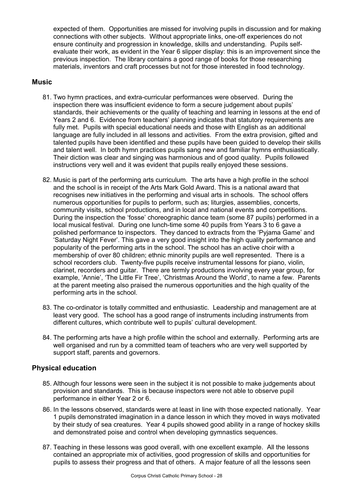expected of them. Opportunities are missed for involving pupils in discussion and for making connections with other subjects. Without appropriate links, one-off experiences do not ensure continuity and progression in knowledge, skills and understanding. Pupils selfevaluate their work, as evident in the Year 6 slipper display: this is an improvement since the previous inspection. The library contains a good range of books for those researching materials, inventors and craft processes but not for those interested in food technology.

## **Music**

- 81. Two hymn practices, and extra-curricular performances were observed. During the inspection there was insufficient evidence to form a secure judgement about pupils' standards, their achievements or the quality of teaching and learning in lessons at the end of Years 2 and 6. Evidence from teachers' planning indicates that statutory requirements are fully met. Pupils with special educational needs and those with English as an additional language are fully included in all lessons and activities. From the extra provision, gifted and talented pupils have been identified and these pupils have been guided to develop their skills and talent well. In both hymn practices pupils sang new and familiar hymns enthusiastically. Their diction was clear and singing was harmonious and of good quality. Pupils followed instructions very well and it was evident that pupils really enjoyed these sessions.
- 82. Music is part of the performing arts curriculum. The arts have a high profile in the school and the school is in receipt of the Arts Mark Gold Award. This is a national award that recognises new initiatives in the performing and visual arts in schools. The school offers numerous opportunities for pupils to perform, such as; liturgies, assemblies, concerts, community visits, school productions, and in local and national events and competitions. During the inspection the 'fosse' choreographic dance team (some 87 pupils) performed in a local musical festival. During one lunch-time some 40 pupils from Years 3 to 6 gave a polished performance to inspectors. They danced to extracts from the 'Pyjama Game' and 'Saturday Night Fever'. This gave a very good insight into the high quality performance and popularity of the performing arts in the school. The school has an active choir with a membership of over 80 children; ethnic minority pupils are well represented. There is a school recorders club. Twenty-five pupils receive instrumental lessons for piano, violin, clarinet, recorders and guitar. There are termly productions involving every year group, for example, 'Annie', 'The Little Fir Tree', 'Christmas Around the World', to name a few. Parents at the parent meeting also praised the numerous opportunities and the high quality of the performing arts in the school.
- 83. The co-ordinator is totally committed and enthusiastic. Leadership and management are at least very good. The school has a good range of instruments including instruments from different cultures, which contribute well to pupils' cultural development.
- 84. The performing arts have a high profile within the school and externally. Performing arts are well organised and run by a committed team of teachers who are very well supported by support staff, parents and governors.

## **Physical education**

- 85. Although four lessons were seen in the subject it is not possible to make judgements about provision and standards. This is because inspectors were not able to observe pupil performance in either Year 2 or 6.
- 86. In the lessons observed, standards were at least in line with those expected nationally. Year 1 pupils demonstrated imagination in a dance lesson in which they moved in ways motivated by their study of sea creatures. Year 4 pupils showed good ability in a range of hockey skills and demonstrated poise and control when developing gymnastics sequences.
- 87. Teaching in these lessons was good overall, with one excellent example. All the lessons contained an appropriate mix of activities, good progression of skills and opportunities for pupils to assess their progress and that of others. A major feature of all the lessons seen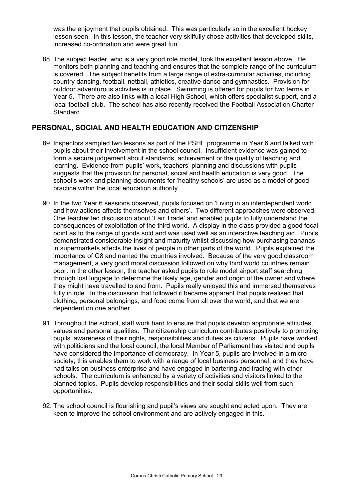was the enjoyment that pupils obtained. This was particularly so in the excellent hockey lesson seen. In this lesson, the teacher very skilfully chose activities that developed skills, increased co-ordination and were great fun.

88. The subject leader, who is a very good role model, took the excellent lesson above. He monitors both planning and teaching and ensures that the complete range of the curriculum is covered. The subject benefits from a large range of extra-curricular activities, including country dancing, football, netball, athletics, creative dance and gymnastics. Provision for outdoor adventurous activities is in place. Swimming is offered for pupils for two terms in Year 5. There are also links with a local High School, which offers specialist support, and a local football club. The school has also recently received the Football Association Charter Standard.

## **PERSONAL, SOCIAL AND HEALTH EDUCATION AND CITIZENSHIP**

- 89. Inspectors sampled two lessons as part of the PSHE programme in Year 6 and talked with pupils about their involvement in the school council. Insufficient evidence was gained to form a secure judgement about standards, achievement or the quality of teaching and learning. Evidence from pupils' work, teachers' planning and discussions with pupils suggests that the provision for personal, social and health education is very good. The school's work and planning documents for 'healthy schools' are used as a model of good practice within the local education authority.
- 90. In the two Year 6 sessions observed, pupils focused on 'Living in an interdependent world and how actions affects themselves and others'. Two different approaches were observed. One teacher led discussion about 'Fair Trade' and enabled pupils to fully understand the consequences of exploitation of the third world. A display in the class provided a good focal point as to the range of goods sold and was used well as an interactive teaching aid. Pupils demonstrated considerable insight and maturity whilst discussing how purchasing bananas in supermarkets affects the lives of people in other parts of the world. Pupils explained the importance of G8 and named the countries involved. Because of the very good classroom management, a very good moral discussion followed on why third world countries remain poor. In the other lesson, the teacher asked pupils to role model airport staff searching through lost luggage to determine the likely age, gender and origin of the owner and where they might have travelled to and from. Pupils really enjoyed this and immersed themselves fully in role. In the discussion that followed it became apparent that pupils realised that clothing, personal belongings, and food come from all over the world, and that we are dependent on one another.
- 91. Throughout the school, staff work hard to ensure that pupils develop appropriate attitudes, values and personal qualities. The citizenship curriculum contributes positively to promoting pupils' awareness of their rights, responsibilities and duties as citizens. Pupils have worked with politicians and the local council, the local Member of Parliament has visited and pupils have considered the importance of democracy. In Year 5, pupils are involved in a microsociety; this enables them to work with a range of local business personnel, and they have had talks on business enterprise and have engaged in bartering and trading with other schools. The curriculum is enhanced by a variety of activities and visitors linked to the planned topics. Pupils develop responsibilities and their social skills well from such opportunities.
- 92. The school council is flourishing and pupil's views are sought and acted upon. They are keen to improve the school environment and are actively engaged in this.